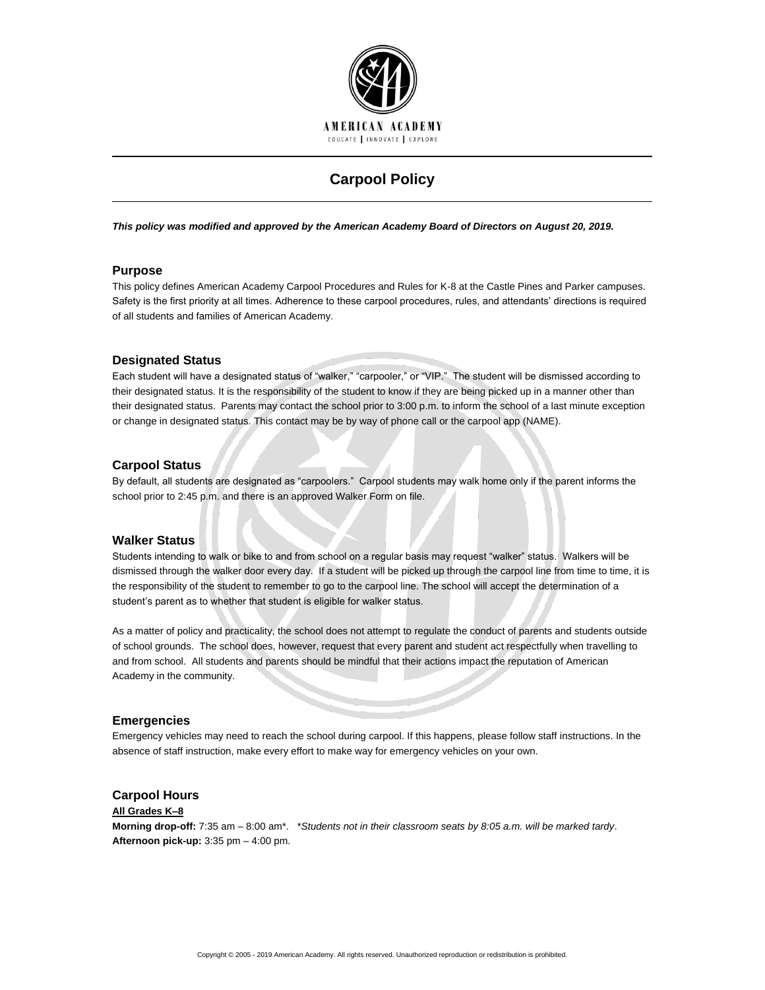

# **Carpool Policy**

*This policy was modified and approved by the American Academy Board of Directors on August 20, 2019.*

# **Purpose**

This policy defines American Academy Carpool Procedures and Rules for K-8 at the Castle Pines and Parker campuses. Safety is the first priority at all times. Adherence to these carpool procedures, rules, and attendants' directions is required of all students and families of American Academy.

## **Designated Status**

Each student will have a designated status of "walker," "carpooler," or "VIP." The student will be dismissed according to their designated status. It is the responsibility of the student to know if they are being picked up in a manner other than their designated status. Parents may contact the school prior to 3:00 p.m. to inform the school of a last minute exception or change in designated status. This contact may be by way of phone call or the carpool app (NAME).

## **Carpool Status**

By default, all students are designated as "carpoolers." Carpool students may walk home only if the parent informs the school prior to 2:45 p.m. and there is an approved Walker Form on file.

## **Walker Status**

Students intending to walk or bike to and from school on a regular basis may request "walker" status. Walkers will be dismissed through the walker door every day. If a student will be picked up through the carpool line from time to time, it is the responsibility of the student to remember to go to the carpool line. The school will accept the determination of a student's parent as to whether that student is eligible for walker status.

As a matter of policy and practicality, the school does not attempt to regulate the conduct of parents and students outside of school grounds. The school does, however, request that every parent and student act respectfully when travelling to and from school. All students and parents should be mindful that their actions impact the reputation of American Academy in the community.

# **Emergencies**

Emergency vehicles may need to reach the school during carpool. If this happens, please follow staff instructions. In the absence of staff instruction, make every effort to make way for emergency vehicles on your own.

## **Carpool Hours**

#### **All Grades K–8**

**Morning drop-off:** 7:35 am – 8:00 am\*. \**Students not in their classroom seats by 8:05 a.m. will be marked tardy*. **Afternoon pick-up:** 3:35 pm – 4:00 pm.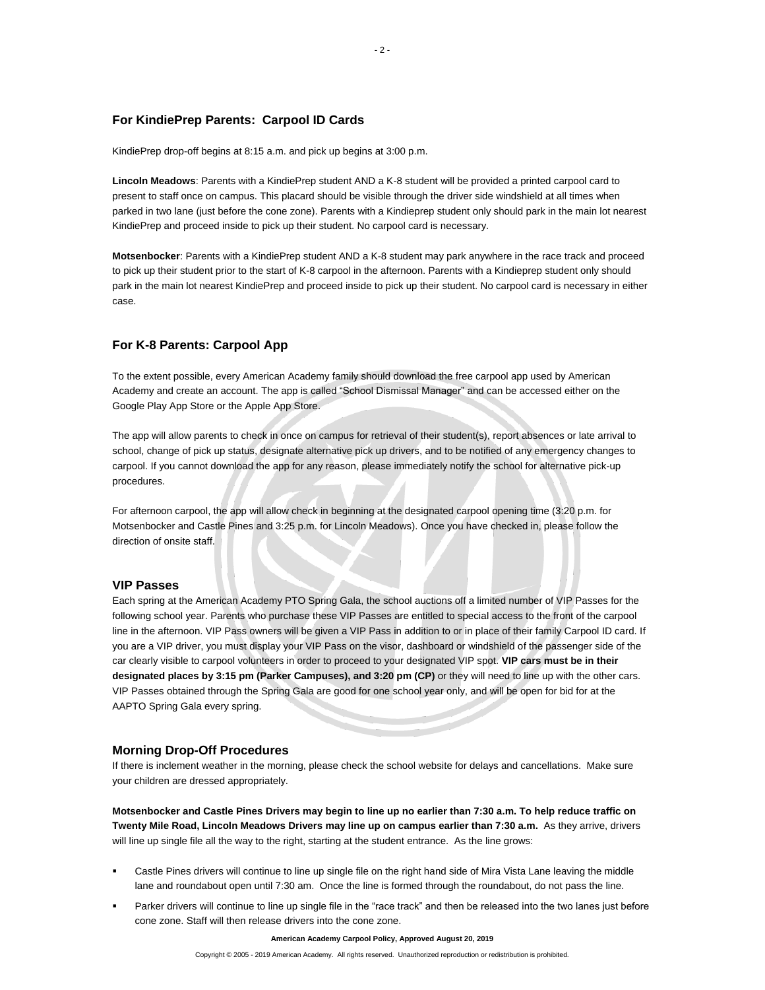# **For KindiePrep Parents: Carpool ID Cards**

KindiePrep drop-off begins at 8:15 a.m. and pick up begins at 3:00 p.m.

**Lincoln Meadows**: Parents with a KindiePrep student AND a K-8 student will be provided a printed carpool card to present to staff once on campus. This placard should be visible through the driver side windshield at all times when parked in two lane (just before the cone zone). Parents with a Kindieprep student only should park in the main lot nearest KindiePrep and proceed inside to pick up their student. No carpool card is necessary.

**Motsenbocker**: Parents with a KindiePrep student AND a K-8 student may park anywhere in the race track and proceed to pick up their student prior to the start of K-8 carpool in the afternoon. Parents with a Kindieprep student only should park in the main lot nearest KindiePrep and proceed inside to pick up their student. No carpool card is necessary in either case.

## **For K-8 Parents: Carpool App**

To the extent possible, every American Academy family should download the free carpool app used by American Academy and create an account. The app is called "School Dismissal Manager" and can be accessed either on the Google Play App Store or the Apple App Store.

The app will allow parents to check in once on campus for retrieval of their student(s), report absences or late arrival to school, change of pick up status, designate alternative pick up drivers, and to be notified of any emergency changes to carpool. If you cannot download the app for any reason, please immediately notify the school for alternative pick-up procedures.

For afternoon carpool, the app will allow check in beginning at the designated carpool opening time (3:20 p.m. for Motsenbocker and Castle Pines and 3:25 p.m. for Lincoln Meadows). Once you have checked in, please follow the direction of onsite staff.

#### **VIP Passes**

Each spring at the American Academy PTO Spring Gala, the school auctions off a limited number of VIP Passes for the following school year. Parents who purchase these VIP Passes are entitled to special access to the front of the carpool line in the afternoon. VIP Pass owners will be given a VIP Pass in addition to or in place of their family Carpool ID card. If you are a VIP driver, you must display your VIP Pass on the visor, dashboard or windshield of the passenger side of the car clearly visible to carpool volunteers in order to proceed to your designated VIP spot. **VIP cars must be in their designated places by 3:15 pm (Parker Campuses), and 3:20 pm (CP)** or they will need to line up with the other cars. VIP Passes obtained through the Spring Gala are good for one school year only, and will be open for bid for at the AAPTO Spring Gala every spring.

#### **Morning Drop-Off Procedures**

If there is inclement weather in the morning, please check the school website for delays and cancellations. Make sure your children are dressed appropriately.

**Motsenbocker and Castle Pines Drivers may begin to line up no earlier than 7:30 a.m. To help reduce traffic on Twenty Mile Road, Lincoln Meadows Drivers may line up on campus earlier than 7:30 a.m.** As they arrive, drivers will line up single file all the way to the right, starting at the student entrance. As the line grows:

- Castle Pines drivers will continue to line up single file on the right hand side of Mira Vista Lane leaving the middle lane and roundabout open until 7:30 am. Once the line is formed through the roundabout, do not pass the line.
- Parker drivers will continue to line up single file in the "race track" and then be released into the two lanes just before cone zone. Staff will then release drivers into the cone zone.

**American Academy Carpool Policy, Approved August 20, 2019**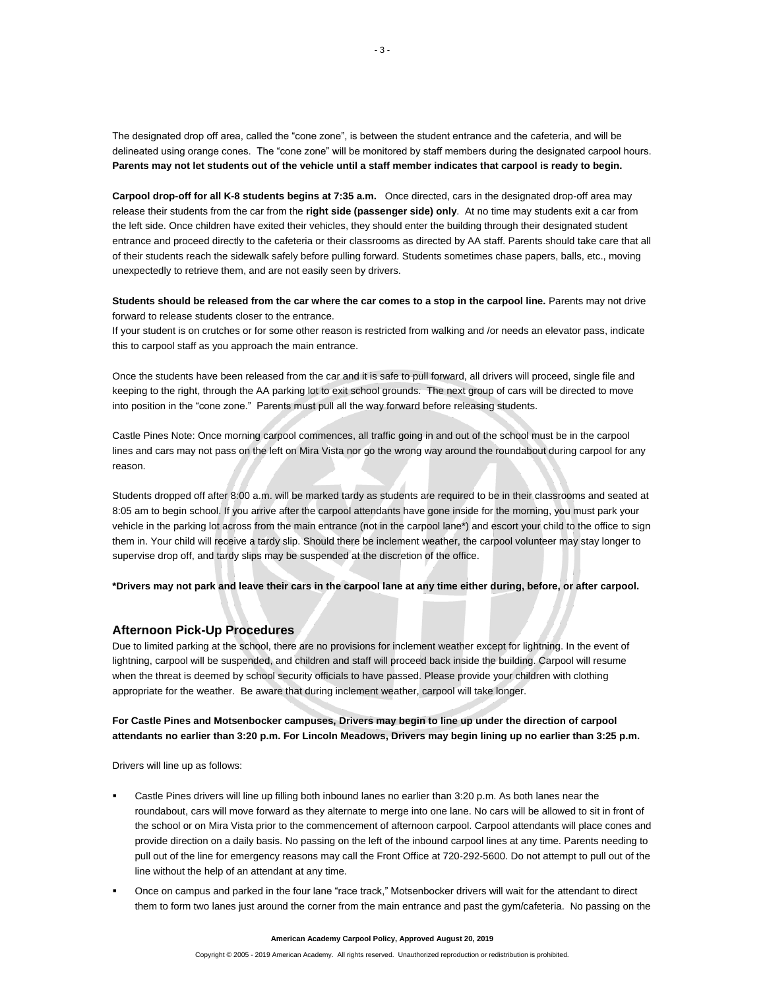The designated drop off area, called the "cone zone", is between the student entrance and the cafeteria, and will be delineated using orange cones. The "cone zone" will be monitored by staff members during the designated carpool hours. **Parents may not let students out of the vehicle until a staff member indicates that carpool is ready to begin.** 

**Carpool drop-off for all K-8 students begins at 7:35 a.m.** Once directed, cars in the designated drop-off area may release their students from the car from the **right side (passenger side) only**. At no time may students exit a car from the left side. Once children have exited their vehicles, they should enter the building through their designated student entrance and proceed directly to the cafeteria or their classrooms as directed by AA staff. Parents should take care that all of their students reach the sidewalk safely before pulling forward. Students sometimes chase papers, balls, etc., moving unexpectedly to retrieve them, and are not easily seen by drivers.

**Students should be released from the car where the car comes to a stop in the carpool line.** Parents may not drive forward to release students closer to the entrance.

If your student is on crutches or for some other reason is restricted from walking and /or needs an elevator pass, indicate this to carpool staff as you approach the main entrance.

Once the students have been released from the car and it is safe to pull forward, all drivers will proceed, single file and keeping to the right, through the AA parking lot to exit school grounds. The next group of cars will be directed to move into position in the "cone zone." Parents must pull all the way forward before releasing students.

Castle Pines Note: Once morning carpool commences, all traffic going in and out of the school must be in the carpool lines and cars may not pass on the left on Mira Vista nor go the wrong way around the roundabout during carpool for any reason.

Students dropped off after 8:00 a.m. will be marked tardy as students are required to be in their classrooms and seated at 8:05 am to begin school. If you arrive after the carpool attendants have gone inside for the morning, you must park your vehicle in the parking lot across from the main entrance (not in the carpool lane\*) and escort your child to the office to sign them in. Your child will receive a tardy slip. Should there be inclement weather, the carpool volunteer may stay longer to supervise drop off, and tardy slips may be suspended at the discretion of the office.

**\*Drivers may not park and leave their cars in the carpool lane at any time either during, before, or after carpool.**

#### **Afternoon Pick-Up Procedures**

Due to limited parking at the school, there are no provisions for inclement weather except for lightning. In the event of lightning, carpool will be suspended, and children and staff will proceed back inside the building. Carpool will resume when the threat is deemed by school security officials to have passed. Please provide your children with clothing appropriate for the weather. Be aware that during inclement weather, carpool will take longer.

## **For Castle Pines and Motsenbocker campuses, Drivers may begin to line up under the direction of carpool attendants no earlier than 3:20 p.m. For Lincoln Meadows, Drivers may begin lining up no earlier than 3:25 p.m.**

Drivers will line up as follows:

- Castle Pines drivers will line up filling both inbound lanes no earlier than 3:20 p.m. As both lanes near the roundabout, cars will move forward as they alternate to merge into one lane. No cars will be allowed to sit in front of the school or on Mira Vista prior to the commencement of afternoon carpool. Carpool attendants will place cones and provide direction on a daily basis. No passing on the left of the inbound carpool lines at any time. Parents needing to pull out of the line for emergency reasons may call the Front Office at 720-292-5600. Do not attempt to pull out of the line without the help of an attendant at any time.
- Once on campus and parked in the four lane "race track," Motsenbocker drivers will wait for the attendant to direct them to form two lanes just around the corner from the main entrance and past the gym/cafeteria. No passing on the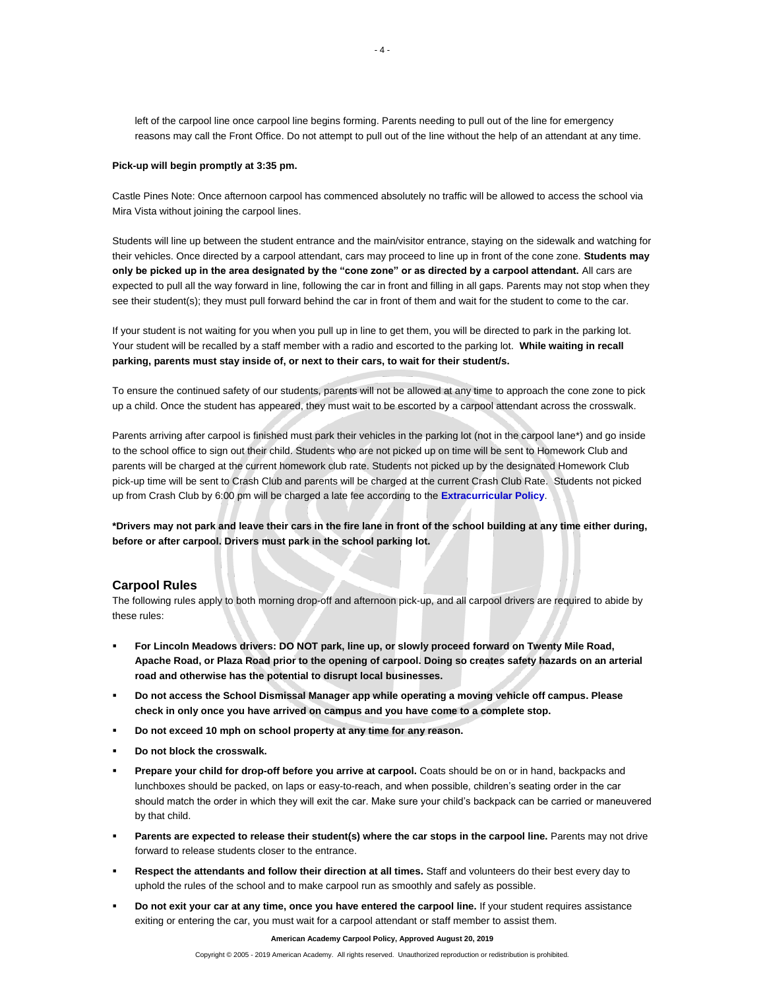left of the carpool line once carpool line begins forming. Parents needing to pull out of the line for emergency reasons may call the Front Office. Do not attempt to pull out of the line without the help of an attendant at any time.

#### **Pick-up will begin promptly at 3:35 pm.**

Castle Pines Note: Once afternoon carpool has commenced absolutely no traffic will be allowed to access the school via Mira Vista without joining the carpool lines.

Students will line up between the student entrance and the main/visitor entrance, staying on the sidewalk and watching for their vehicles. Once directed by a carpool attendant, cars may proceed to line up in front of the cone zone. **Students may only be picked up in the area designated by the "cone zone" or as directed by a carpool attendant.** All cars are expected to pull all the way forward in line, following the car in front and filling in all gaps. Parents may not stop when they see their student(s); they must pull forward behind the car in front of them and wait for the student to come to the car.

If your student is not waiting for you when you pull up in line to get them, you will be directed to park in the parking lot. Your student will be recalled by a staff member with a radio and escorted to the parking lot. **While waiting in recall parking, parents must stay inside of, or next to their cars, to wait for their student/s.**

To ensure the continued safety of our students, parents will not be allowed at any time to approach the cone zone to pick up a child. Once the student has appeared, they must wait to be escorted by a carpool attendant across the crosswalk.

Parents arriving after carpool is finished must park their vehicles in the parking lot (not in the carpool lane\*) and go inside to the school office to sign out their child. Students who are not picked up on time will be sent to Homework Club and parents will be charged at the current homework club rate. Students not picked up by the designated Homework Club pick-up time will be sent to Crash Club and parents will be charged at the current Crash Club Rate. Students not picked up from Crash Club by 6:00 pm will be charged a late fee according to the **[Extracurricular Policy](http://www.americanacademyk8.org/aastaffhome/BOD/downloads/ExtracurricularPolicy.pdf)**.

**\*Drivers may not park and leave their cars in the fire lane in front of the school building at any time either during, before or after carpool. Drivers must park in the school parking lot.**

#### **Carpool Rules**

The following rules apply to both morning drop-off and afternoon pick-up, and all carpool drivers are required to abide by these rules:

- **For Lincoln Meadows drivers: DO NOT park, line up, or slowly proceed forward on Twenty Mile Road, Apache Road, or Plaza Road prior to the opening of carpool. Doing so creates safety hazards on an arterial road and otherwise has the potential to disrupt local businesses.**
- **Do not access the School Dismissal Manager app while operating a moving vehicle off campus. Please check in only once you have arrived on campus and you have come to a complete stop.**
- **Do not exceed 10 mph on school property at any time for any reason.**
- **Do not block the crosswalk.**
- **Prepare your child for drop-off before you arrive at carpool.** Coats should be on or in hand, backpacks and lunchboxes should be packed, on laps or easy-to-reach, and when possible, children's seating order in the car should match the order in which they will exit the car. Make sure your child's backpack can be carried or maneuvered by that child.
- **Parents are expected to release their student(s) where the car stops in the carpool line.** Parents may not drive forward to release students closer to the entrance.
- **Respect the attendants and follow their direction at all times.** Staff and volunteers do their best every day to uphold the rules of the school and to make carpool run as smoothly and safely as possible.
- **Do not exit your car at any time, once you have entered the carpool line.** If your student requires assistance exiting or entering the car, you must wait for a carpool attendant or staff member to assist them.

**American Academy Carpool Policy, Approved August 20, 2019**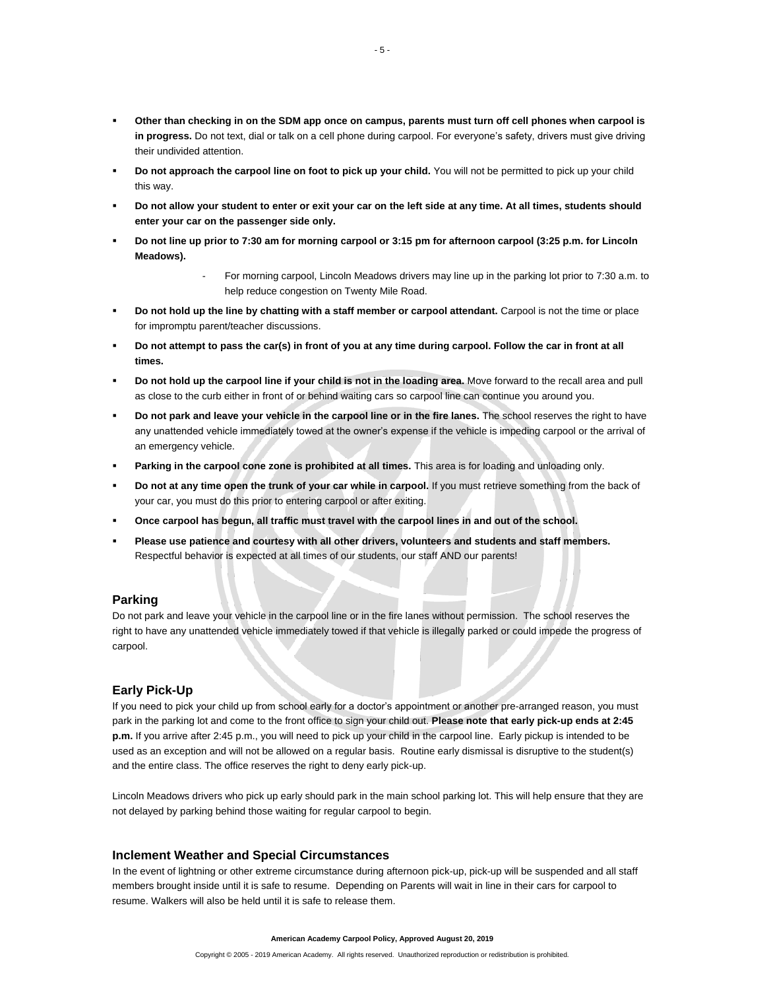- **Other than checking in on the SDM app once on campus, parents must turn off cell phones when carpool is in progress.** Do not text, dial or talk on a cell phone during carpool. For everyone's safety, drivers must give driving their undivided attention.
- **Do not approach the carpool line on foot to pick up your child.** You will not be permitted to pick up your child this way.
- **Do not allow your student to enter or exit your car on the left side at any time. At all times, students should enter your car on the passenger side only.**
- **Do not line up prior to 7:30 am for morning carpool or 3:15 pm for afternoon carpool (3:25 p.m. for Lincoln Meadows).**
	- For morning carpool, Lincoln Meadows drivers may line up in the parking lot prior to 7:30 a.m. to help reduce congestion on Twenty Mile Road.
- **Do not hold up the line by chatting with a staff member or carpool attendant.** Carpool is not the time or place for impromptu parent/teacher discussions.
- **Do not attempt to pass the car(s) in front of you at any time during carpool. Follow the car in front at all times.**
- **Do not hold up the carpool line if your child is not in the loading area.** Move forward to the recall area and pull as close to the curb either in front of or behind waiting cars so carpool line can continue you around you.
- **Do not park and leave your vehicle in the carpool line or in the fire lanes.** The school reserves the right to have any unattended vehicle immediately towed at the owner's expense if the vehicle is impeding carpool or the arrival of an emergency vehicle.
- **Parking in the carpool cone zone is prohibited at all times.** This area is for loading and unloading only.
- **Do not at any time open the trunk of your car while in carpool.** If you must retrieve something from the back of your car, you must do this prior to entering carpool or after exiting.
- **Once carpool has begun, all traffic must travel with the carpool lines in and out of the school.**
- **Please use patience and courtesy with all other drivers, volunteers and students and staff members.** Respectful behavior is expected at all times of our students, our staff AND our parents!

#### **Parking**

Do not park and leave your vehicle in the carpool line or in the fire lanes without permission. The school reserves the right to have any unattended vehicle immediately towed if that vehicle is illegally parked or could impede the progress of carpool.

## **Early Pick-Up**

If you need to pick your child up from school early for a doctor's appointment or another pre-arranged reason, you must park in the parking lot and come to the front office to sign your child out. **Please note that early pick-up ends at 2:45 p.m.** If you arrive after 2:45 p.m., you will need to pick up your child in the carpool line. Early pickup is intended to be used as an exception and will not be allowed on a regular basis. Routine early dismissal is disruptive to the student(s) and the entire class. The office reserves the right to deny early pick-up.

Lincoln Meadows drivers who pick up early should park in the main school parking lot. This will help ensure that they are not delayed by parking behind those waiting for regular carpool to begin.

### **Inclement Weather and Special Circumstances**

In the event of lightning or other extreme circumstance during afternoon pick-up, pick-up will be suspended and all staff members brought inside until it is safe to resume. Depending on Parents will wait in line in their cars for carpool to resume. Walkers will also be held until it is safe to release them.